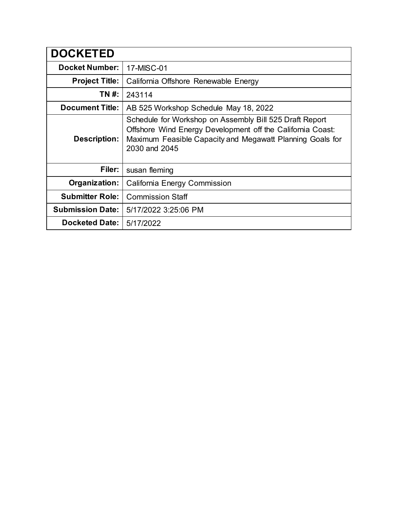| <b>DOCKETED</b>         |                                                                                                                                                                                                     |
|-------------------------|-----------------------------------------------------------------------------------------------------------------------------------------------------------------------------------------------------|
| <b>Docket Number:</b>   | 17-MISC-01                                                                                                                                                                                          |
| <b>Project Title:</b>   | California Offshore Renewable Energy                                                                                                                                                                |
| TN #:                   | 243114                                                                                                                                                                                              |
| <b>Document Title:</b>  | AB 525 Workshop Schedule May 18, 2022                                                                                                                                                               |
| Description:            | Schedule for Workshop on Assembly Bill 525 Draft Report<br>Offshore Wind Energy Development off the California Coast:<br>Maximum Feasible Capacity and Megawatt Planning Goals for<br>2030 and 2045 |
| Filer:                  | susan fleming                                                                                                                                                                                       |
| Organization:           | California Energy Commission                                                                                                                                                                        |
| <b>Submitter Role:</b>  | <b>Commission Staff</b>                                                                                                                                                                             |
| <b>Submission Date:</b> | 5/17/2022 3:25:06 PM                                                                                                                                                                                |
| <b>Docketed Date:</b>   | 5/17/2022                                                                                                                                                                                           |